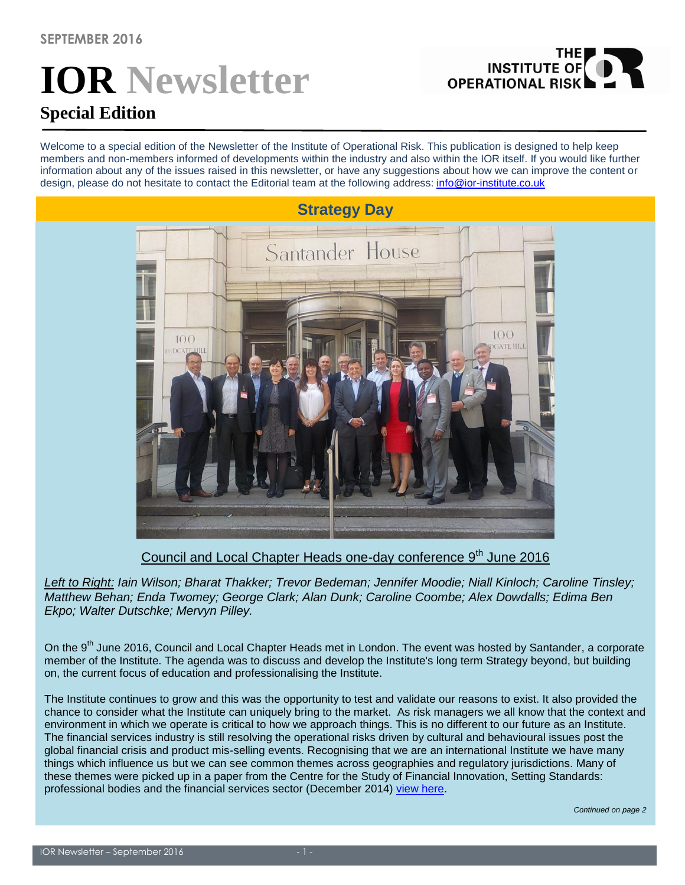# **IOR Newsletter Special Edition**

Welcome to a special edition of the Newsletter of the Institute of Operational Risk. This publication is designed to help keep members and non-members informed of developments within the industry and also within the IOR itself. If you would like further information about any of the issues raised in this newsletter, or have any suggestions about how we can improve the content or

THE<br>INSTITUTE OF

**OPERATIONAL RISK** 



Council and Local Chapter Heads one-day conference 9<sup>th</sup> June 2016

*Left to Right: Iain Wilson; Bharat Thakker; Trevor Bedeman; Jennifer Moodie; Niall Kinloch; Caroline Tinsley; Matthew Behan; Enda Twomey; George Clark; Alan Dunk; Caroline Coombe; Alex Dowdalls; Edima Ben Ekpo; Walter Dutschke; Mervyn Pilley.*

On the 9<sup>th</sup> June 2016, Council and Local Chapter Heads met in London. The event was hosted by Santander, a corporate member of the Institute. The agenda was to discuss and develop the Institute's long term Strategy beyond, but building on, the current focus of education and professionalising the Institute.

The Institute continues to grow and this was the opportunity to test and validate our reasons to exist. It also provided the chance to consider what the Institute can uniquely bring to the market. As risk managers we all know that the context and environment in which we operate is critical to how we approach things. This is no different to our future as an Institute. The financial services industry is still resolving the operational risks driven by cultural and behavioural issues post the global financial crisis and product mis-selling events. Recognising that we are an international Institute we have many things which influence us but we can see common themes across geographies and regulatory jurisdictions. Many of these themes were picked up in a paper from the Centre for the Study of Financial Innovation, Setting Standards: professional bodies and the financial services sector (December 2014) [view here.](https://static1.squarespace.com/static/54d620fce4b049bf4cd5be9b/t/55dde01fe4b02fcd4471b848/1440604191144/Setting+Standards_by+Keyur+Patel.pdf)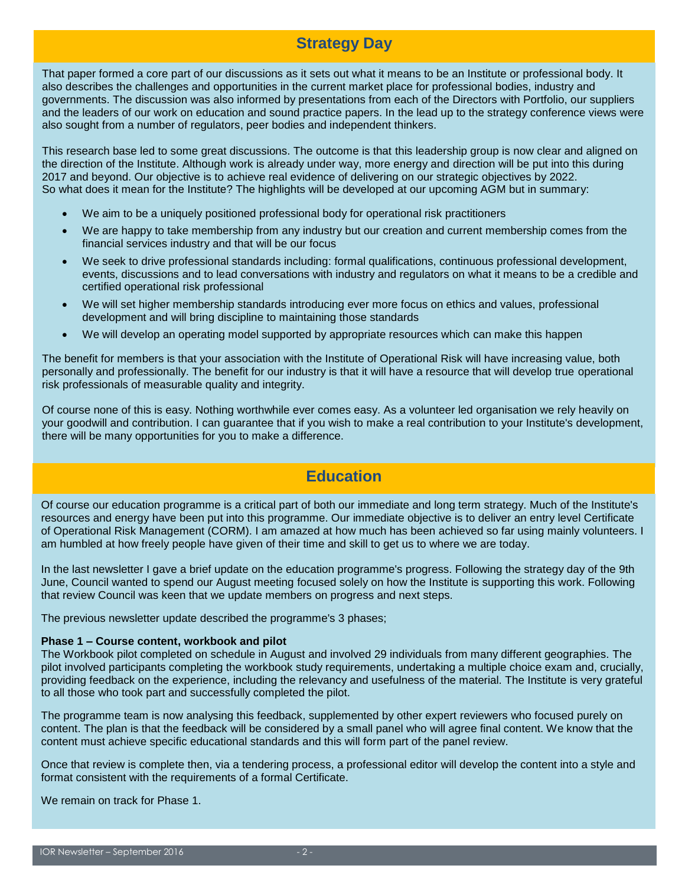## **Strategy Day**

That paper formed a core part of our discussions as it sets out what it means to be an Institute or professional body. It also describes the challenges and opportunities in the current market place for professional bodies, industry and governments. The discussion was also informed by presentations from each of the Directors with Portfolio, our suppliers and the leaders of our work on education and sound practice papers. In the lead up to the strategy conference views were also sought from a number of regulators, peer bodies and independent thinkers.

This research base led to some great discussions. The outcome is that this leadership group is now clear and aligned on the direction of the Institute. Although work is already under way, more energy and direction will be put into this during 2017 and beyond. Our objective is to achieve real evidence of delivering on our strategic objectives by 2022. So what does it mean for the Institute? The highlights will be developed at our upcoming AGM but in summary:

- We aim to be a uniquely positioned professional body for operational risk practitioners
- We are happy to take membership from any industry but our creation and current membership comes from the financial services industry and that will be our focus
- We seek to drive professional standards including: formal qualifications, continuous professional development, events, discussions and to lead conversations with industry and regulators on what it means to be a credible and certified operational risk professional
- We will set higher membership standards introducing ever more focus on ethics and values, professional development and will bring discipline to maintaining those standards
- We will develop an operating model supported by appropriate resources which can make this happen

The benefit for members is that your association with the Institute of Operational Risk will have increasing value, both personally and professionally. The benefit for our industry is that it will have a resource that will develop true operational risk professionals of measurable quality and integrity.

Of course none of this is easy. Nothing worthwhile ever comes easy. As a volunteer led organisation we rely heavily on your goodwill and contribution. I can guarantee that if you wish to make a real contribution to your Institute's development, there will be many opportunities for you to make a difference.

# **Education**

Of course our education programme is a critical part of both our immediate and long term strategy. Much of the Institute's resources and energy have been put into this programme. Our immediate objective is to deliver an entry level Certificate of Operational Risk Management (CORM). I am amazed at how much has been achieved so far using mainly volunteers. I am humbled at how freely people have given of their time and skill to get us to where we are today.

In the last newsletter I gave a brief update on the education programme's progress. Following the strategy day of the 9th June, Council wanted to spend our August meeting focused solely on how the Institute is supporting this work. Following that review Council was keen that we update members on progress and next steps.

The previous newsletter update described the programme's 3 phases;

#### **Phase 1 – Course content, workbook and pilot**

*Continued on page 2* providing feedback on the experience, including the relevancy and usefulness of the material. The Institute is very grateful The Workbook pilot completed on schedule in August and involved 29 individuals from many different geographies. The pilot involved participants completing the workbook study requirements, undertaking a multiple choice exam and, crucially, to all those who took part and successfully completed the pilot.

The programme team is now analysing this feedback, supplemented by other expert reviewers who focused purely on content. The plan is that the feedback will be considered by a small panel who will agree final content. We know that the content must achieve specific educational standards and this will form part of the panel review.

Once that review is complete then, via a tendering process, a professional editor will develop the content into a style and format consistent with the requirements of a formal Certificate.

We remain on track for Phase 1.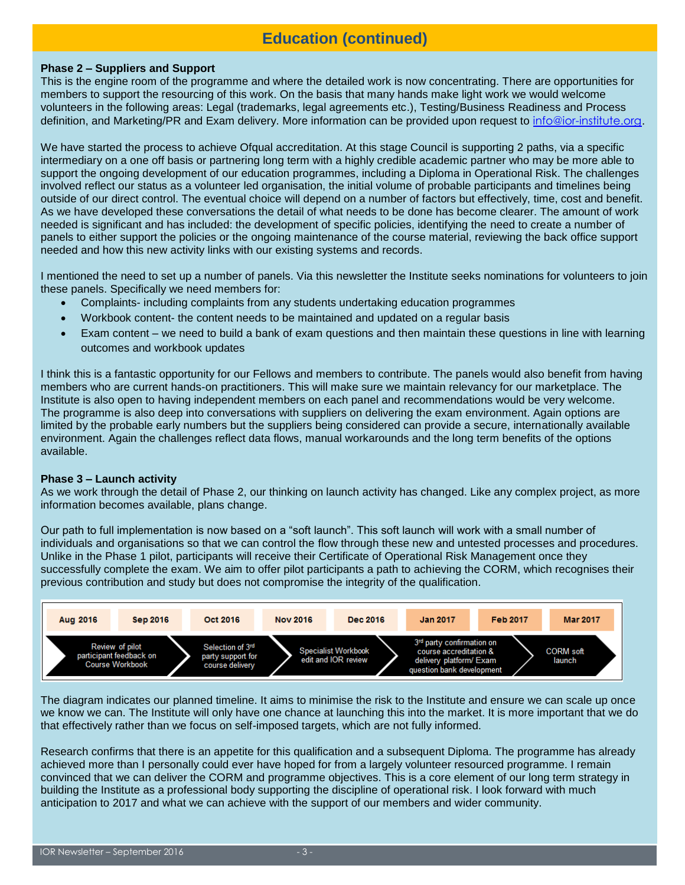# **Education (continued)**

#### **Phase 2 – Suppliers and Support**

This is the engine room of the programme and where the detailed work is now concentrating. There are opportunities for members to support the resourcing of this work. On the basis that many hands make light work we would welcome volunteers in the following areas: Legal (trademarks, legal agreements etc.), Testing/Business Readiness and Process definition, and Marketing/PR and Exam delivery. More information can be provided upon request to [info@ior-institute.org.](mailto:info@ior-institute.org)

We have started the process to achieve Ofqual accreditation. At this stage Council is supporting 2 paths, via a specific intermediary on a one off basis or partnering long term with a highly credible academic partner who may be more able to support the ongoing development of our education programmes, including a Diploma in Operational Risk. The challenges involved reflect our status as a volunteer led organisation, the initial volume of probable participants and timelines being outside of our direct control. The eventual choice will depend on a number of factors but effectively, time, cost and benefit. As we have developed these conversations the detail of what needs to be done has become clearer. The amount of work needed is significant and has included: the development of specific policies, identifying the need to create a number of panels to either support the policies or the ongoing maintenance of the course material, reviewing the back office support needed and how this new activity links with our existing systems and records.

I mentioned the need to set up a number of panels. Via this newsletter the Institute seeks nominations for volunteers to join these panels. Specifically we need members for:

- Complaints- including complaints from any students undertaking education programmes
- Workbook content- the content needs to be maintained and updated on a regular basis
- Exam content we need to build a bank of exam questions and then maintain these questions in line with learning outcomes and workbook updates

I think this is a fantastic opportunity for our Fellows and members to contribute. The panels would also benefit from having members who are current hands-on practitioners. This will make sure we maintain relevancy for our marketplace. The Institute is also open to having independent members on each panel and recommendations would be very welcome. The programme is also deep into conversations with suppliers on delivering the exam environment. Again options are limited by the probable early numbers but the suppliers being considered can provide a secure, internationally available environment. Again the challenges reflect data flows, manual workarounds and the long term benefits of the options available.

#### **Phase 3 – Launch activity**

As we work through the detail of Phase 2, our thinking on launch activity has changed. Like any complex project, as more information becomes available, plans change.

Our path to full implementation is now based on a "soft launch". This soft launch will work with a small number of individuals and organisations so that we can control the flow through these new and untested processes and procedures. Unlike in the Phase 1 pilot, participants will receive their Certificate of Operational Risk Management once they successfully complete the exam. We aim to offer pilot participants a path to achieving the CORM, which recognises their previous contribution and study but does not compromise the integrity of the qualification.



The diagram indicates our planned timeline. It aims to minimise the risk to the Institute and ensure we can scale up once we know we can. The Institute will only have one chance at launching this into the market. It is more important that we do that effectively rather than we focus on self-imposed targets, which are not fully informed.

Research confirms that there is an appetite for this qualification and a subsequent Diploma. The programme has already achieved more than I personally could ever have hoped for from a largely volunteer resourced programme. I remain convinced that we can deliver the CORM and programme objectives. This is a core element of our long term strategy in building the Institute as a professional body supporting the discipline of operational risk. I look forward with much anticipation to 2017 and what we can achieve with the support of our members and wider community.